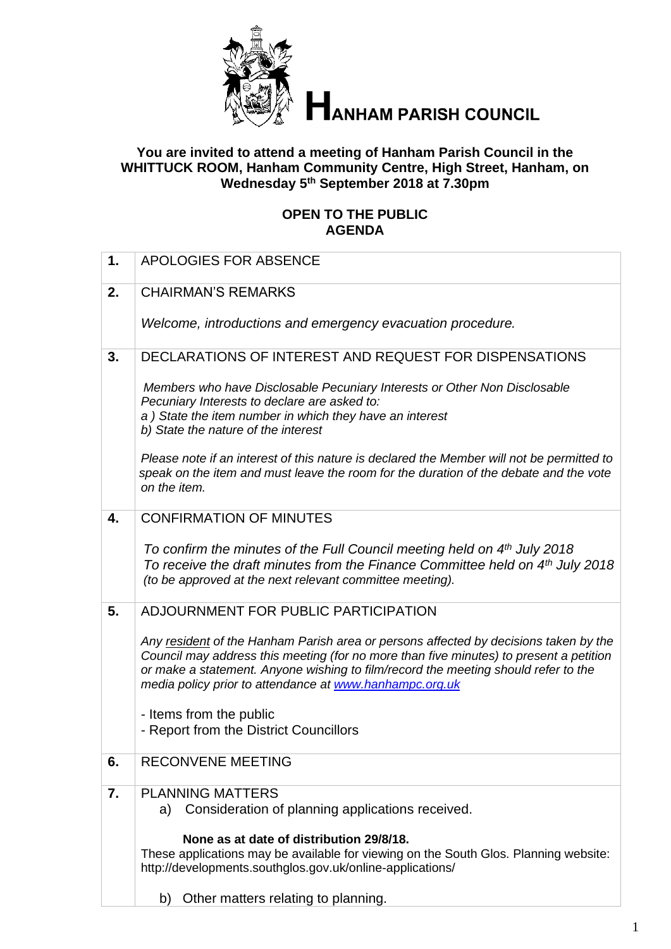

# **ANHAM PARISH COUNCIL**

## **You are invited to attend a meeting of Hanham Parish Council in the WHITTUCK ROOM, Hanham Community Centre, High Street, Hanham, on Wednesday 5 th September 2018 at 7.30pm**

## **OPEN TO THE PUBLIC AGENDA**

| $\mathbf 1$ . | <b>APOLOGIES FOR ABSENCE</b>                                                                                                                                                                                                                                                                                                    |
|---------------|---------------------------------------------------------------------------------------------------------------------------------------------------------------------------------------------------------------------------------------------------------------------------------------------------------------------------------|
| 2.            | <b>CHAIRMAN'S REMARKS</b>                                                                                                                                                                                                                                                                                                       |
|               | Welcome, introductions and emergency evacuation procedure.                                                                                                                                                                                                                                                                      |
| 3.            | DECLARATIONS OF INTEREST AND REQUEST FOR DISPENSATIONS                                                                                                                                                                                                                                                                          |
|               | Members who have Disclosable Pecuniary Interests or Other Non Disclosable<br>Pecuniary Interests to declare are asked to:<br>a) State the item number in which they have an interest<br>b) State the nature of the interest                                                                                                     |
|               | Please note if an interest of this nature is declared the Member will not be permitted to<br>speak on the item and must leave the room for the duration of the debate and the vote<br>on the item.                                                                                                                              |
| 4.            | <b>CONFIRMATION OF MINUTES</b>                                                                                                                                                                                                                                                                                                  |
|               | To confirm the minutes of the Full Council meeting held on 4th July 2018<br>To receive the draft minutes from the Finance Committee held on 4th July 2018<br>(to be approved at the next relevant committee meeting).                                                                                                           |
| 5.            | ADJOURNMENT FOR PUBLIC PARTICIPATION                                                                                                                                                                                                                                                                                            |
|               | Any resident of the Hanham Parish area or persons affected by decisions taken by the<br>Council may address this meeting (for no more than five minutes) to present a petition<br>or make a statement. Anyone wishing to film/record the meeting should refer to the<br>media policy prior to attendance at www.hanhampc.org.uk |
|               | - Items from the public                                                                                                                                                                                                                                                                                                         |
|               | - Report from the District Councillors                                                                                                                                                                                                                                                                                          |
| 6.            | <b>RECONVENE MEETING</b>                                                                                                                                                                                                                                                                                                        |
| 7.            | <b>PLANNING MATTERS</b>                                                                                                                                                                                                                                                                                                         |
|               | a) Consideration of planning applications received.                                                                                                                                                                                                                                                                             |
|               | None as at date of distribution 29/8/18.<br>These applications may be available for viewing on the South Glos. Planning website:<br>http://developments.southglos.gov.uk/online-applications/                                                                                                                                   |
|               | b) Other matters relating to planning.                                                                                                                                                                                                                                                                                          |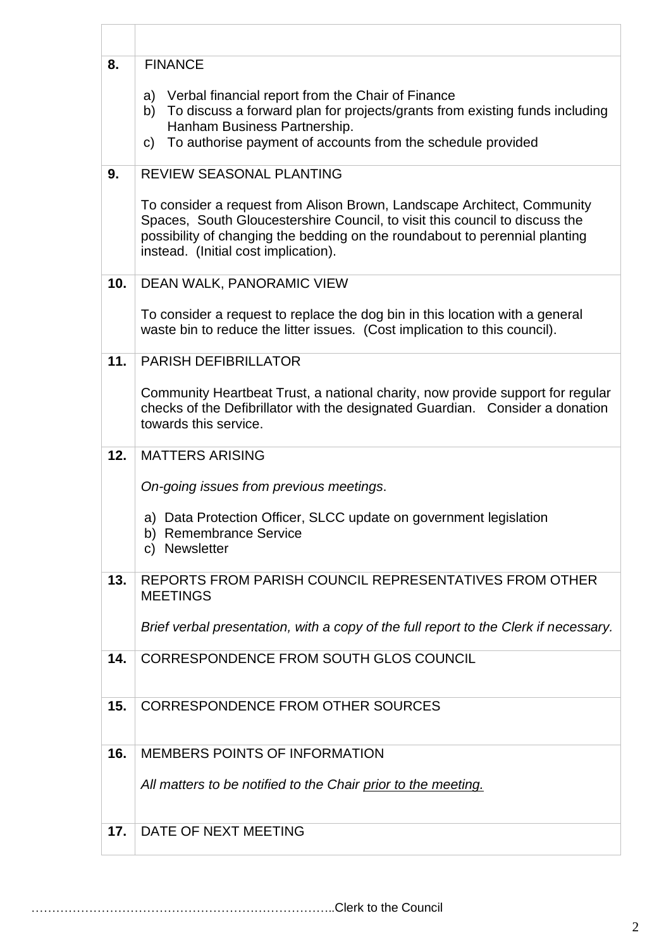| 8.  | <b>FINANCE</b>                                                                                                                                                                                                                                                                |
|-----|-------------------------------------------------------------------------------------------------------------------------------------------------------------------------------------------------------------------------------------------------------------------------------|
|     | a) Verbal financial report from the Chair of Finance<br>b) To discuss a forward plan for projects/grants from existing funds including<br>Hanham Business Partnership.<br>To authorise payment of accounts from the schedule provided<br>C)                                   |
| 9.  | REVIEW SEASONAL PLANTING                                                                                                                                                                                                                                                      |
|     | To consider a request from Alison Brown, Landscape Architect, Community<br>Spaces, South Gloucestershire Council, to visit this council to discuss the<br>possibility of changing the bedding on the roundabout to perennial planting<br>instead. (Initial cost implication). |
| 10. | DEAN WALK, PANORAMIC VIEW                                                                                                                                                                                                                                                     |
|     | To consider a request to replace the dog bin in this location with a general<br>waste bin to reduce the litter issues. (Cost implication to this council).                                                                                                                    |
| 11. | <b>PARISH DEFIBRILLATOR</b>                                                                                                                                                                                                                                                   |
|     | Community Heartbeat Trust, a national charity, now provide support for regular<br>checks of the Defibrillator with the designated Guardian. Consider a donation<br>towards this service.                                                                                      |
| 12. | <b>MATTERS ARISING</b>                                                                                                                                                                                                                                                        |
|     | On-going issues from previous meetings.                                                                                                                                                                                                                                       |
|     | a) Data Protection Officer, SLCC update on government legislation<br>b) Remembrance Service<br>c) Newsletter                                                                                                                                                                  |
| 13. | REPORTS FROM PARISH COUNCIL REPRESENTATIVES FROM OTHER<br><b>MEETINGS</b>                                                                                                                                                                                                     |
|     | Brief verbal presentation, with a copy of the full report to the Clerk if necessary.                                                                                                                                                                                          |
| 14. | CORRESPONDENCE FROM SOUTH GLOS COUNCIL                                                                                                                                                                                                                                        |
| 15. | <b>CORRESPONDENCE FROM OTHER SOURCES</b>                                                                                                                                                                                                                                      |
| 16. | <b>MEMBERS POINTS OF INFORMATION</b>                                                                                                                                                                                                                                          |
|     | All matters to be notified to the Chair prior to the meeting.                                                                                                                                                                                                                 |
| 17. | DATE OF NEXT MEETING                                                                                                                                                                                                                                                          |

………………………………………………………………..Clerk to the Council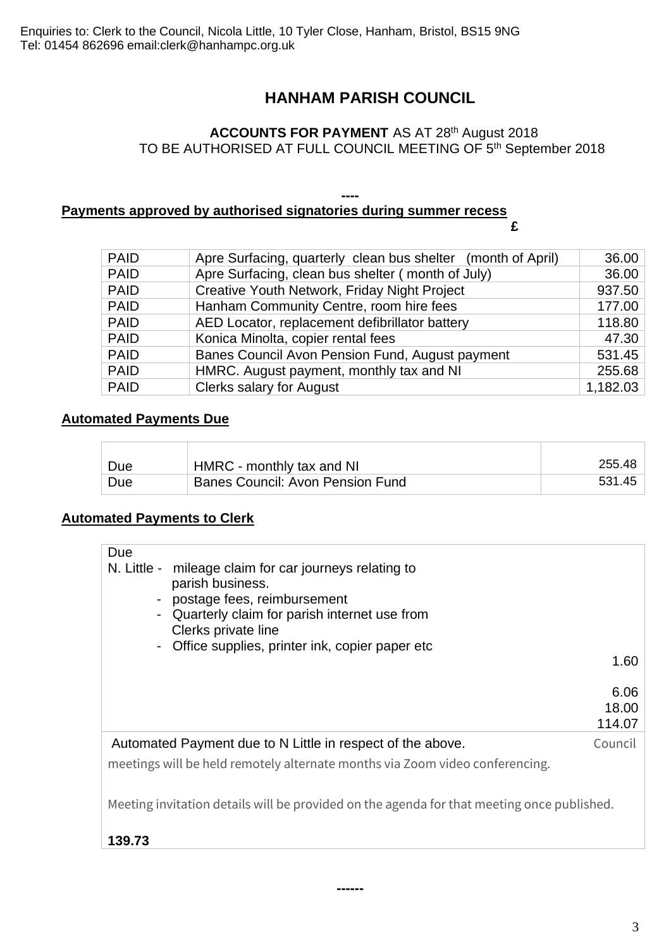# **HANHAM PARISH COUNCIL**

# **ACCOUNTS FOR PAYMENT** AS AT 28<sup>th</sup> August 2018 TO BE AUTHORISED AT FULL COUNCIL MEETING OF 5<sup>th</sup> September 2018

#### **---- Payments approved by authorised signatories during summer recess**

**£**

| <b>PAID</b> | Apre Surfacing, quarterly clean bus shelter (month of April) | 36.00    |
|-------------|--------------------------------------------------------------|----------|
| <b>PAID</b> | Apre Surfacing, clean bus shelter (month of July)            | 36.00    |
| <b>PAID</b> | Creative Youth Network, Friday Night Project                 | 937.50   |
| <b>PAID</b> | Hanham Community Centre, room hire fees                      | 177.00   |
| <b>PAID</b> | AED Locator, replacement defibrillator battery               | 118.80   |
| <b>PAID</b> | Konica Minolta, copier rental fees                           | 47.30    |
| <b>PAID</b> | Banes Council Avon Pension Fund, August payment              | 531.45   |
| <b>PAID</b> | HMRC. August payment, monthly tax and NI                     | 255.68   |
| <b>PAID</b> | <b>Clerks salary for August</b>                              | 1,182.03 |

## **Automated Payments Due**

F

| Due | HMRC - monthly tax and NI        | 255.48 |
|-----|----------------------------------|--------|
| Due | Banes Council: Avon Pension Fund | 531.45 |

# **Automated Payments to Clerk**

| Due<br>$\blacksquare$<br>$\overline{\phantom{a}}$<br>$\qquad \qquad \blacksquare$          | N. Little - mileage claim for car journeys relating to<br>parish business.<br>postage fees, reimbursement<br>Quarterly claim for parish internet use from<br>Clerks private line<br>Office supplies, printer ink, copier paper etc |         |  |  |
|--------------------------------------------------------------------------------------------|------------------------------------------------------------------------------------------------------------------------------------------------------------------------------------------------------------------------------------|---------|--|--|
|                                                                                            |                                                                                                                                                                                                                                    | 1.60    |  |  |
|                                                                                            |                                                                                                                                                                                                                                    |         |  |  |
|                                                                                            |                                                                                                                                                                                                                                    | 6.06    |  |  |
|                                                                                            |                                                                                                                                                                                                                                    | 18.00   |  |  |
|                                                                                            |                                                                                                                                                                                                                                    | 114.07  |  |  |
|                                                                                            | Automated Payment due to N Little in respect of the above.                                                                                                                                                                         | Council |  |  |
|                                                                                            | meetings will be held remotely alternate months via Zoom video conferencing.                                                                                                                                                       |         |  |  |
|                                                                                            |                                                                                                                                                                                                                                    |         |  |  |
| Meeting invitation details will be provided on the agenda for that meeting once published. |                                                                                                                                                                                                                                    |         |  |  |
| 139.73                                                                                     |                                                                                                                                                                                                                                    |         |  |  |

**------**